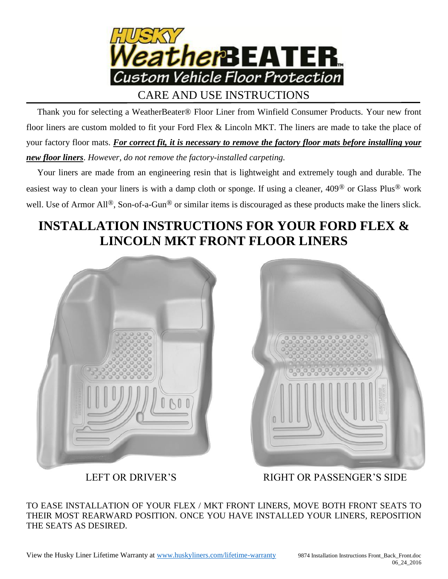

 Thank you for selecting a WeatherBeater® Floor Liner from Winfield Consumer Products. Your new front floor liners are custom molded to fit your Ford Flex & Lincoln MKT. The liners are made to take the place of your factory floor mats. *For correct fit, it is necessary to remove the factory floor mats before installing your new floor liners*. *However, do not remove the factory-installed carpeting.*

 Your liners are made from an engineering resin that is lightweight and extremely tough and durable. The easiest way to clean your liners is with a damp cloth or sponge. If using a cleaner, 409® or Glass Plus® work well. Use of Armor All<sup>®</sup>, Son-of-a-Gun<sup>®</sup> or similar items is discouraged as these products make the liners slick.

## **INSTALLATION INSTRUCTIONS FOR YOUR FORD FLEX & LINCOLN MKT FRONT FLOOR LINERS**





LEFT OR DRIVER'S

RIGHT OR PASSENGER'S SIDE

TO EASE INSTALLATION OF YOUR FLEX / MKT FRONT LINERS, MOVE BOTH FRONT SEATS TO THEIR MOST REARWARD POSITION. ONCE YOU HAVE INSTALLED YOUR LINERS, REPOSITION THE SEATS AS DESIRED.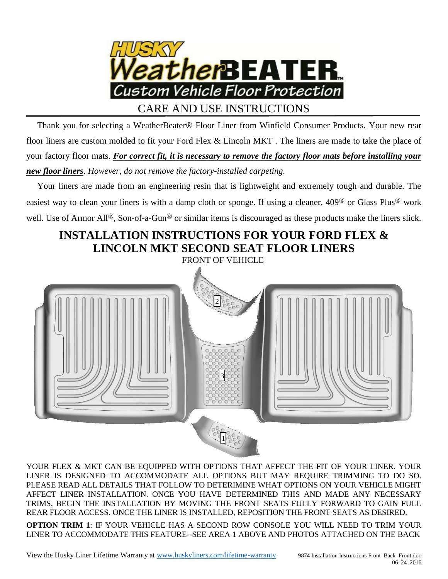

## CARE AND USE INSTRUCTIONS

 Thank you for selecting a WeatherBeater® Floor Liner from Winfield Consumer Products. Your new rear floor liners are custom molded to fit your Ford Flex & Lincoln MKT . The liners are made to take the place of your factory floor mats. *For correct fit, it is necessary to remove the factory floor mats before installing your new floor liners*. *However, do not remove the factory-installed carpeting.*

 Your liners are made from an engineering resin that is lightweight and extremely tough and durable. The easiest way to clean your liners is with a damp cloth or sponge. If using a cleaner, 409® or Glass Plus® work well. Use of Armor All<sup>®</sup>, Son-of-a-Gun<sup>®</sup> or similar items is discouraged as these products make the liners slick.

## **INSTALLATION INSTRUCTIONS FOR YOUR FORD FLEX & LINCOLN MKT SECOND SEAT FLOOR LINERS**

FRONT OF VEHICLE



YOUR FLEX & MKT CAN BE EQUIPPED WITH OPTIONS THAT AFFECT THE FIT OF YOUR LINER. YOUR LINER IS DESIGNED TO ACCOMMODATE ALL OPTIONS BUT MAY REQUIRE TRIMMING TO DO SO. PLEASE READ ALL DETAILS THAT FOLLOW TO DETERIMINE WHAT OPTIONS ON YOUR VEHICLE MIGHT AFFECT LINER INSTALLATION. ONCE YOU HAVE DETERMINED THIS AND MADE ANY NECESSARY TRIMS, BEGIN THE INSTALLATION BY MOVING THE FRONT SEATS FULLY FORWARD TO GAIN FULL REAR FLOOR ACCESS. ONCE THE LINER IS INSTALLED, REPOSITION THE FRONT SEATS AS DESIRED.

**OPTION TRIM 1**: IF YOUR VEHICLE HAS A SECOND ROW CONSOLE YOU WILL NEED TO TRIM YOUR LINER TO ACCOMMODATE THIS FEATURE--SEE AREA 1 ABOVE AND PHOTOS ATTACHED ON THE BACK